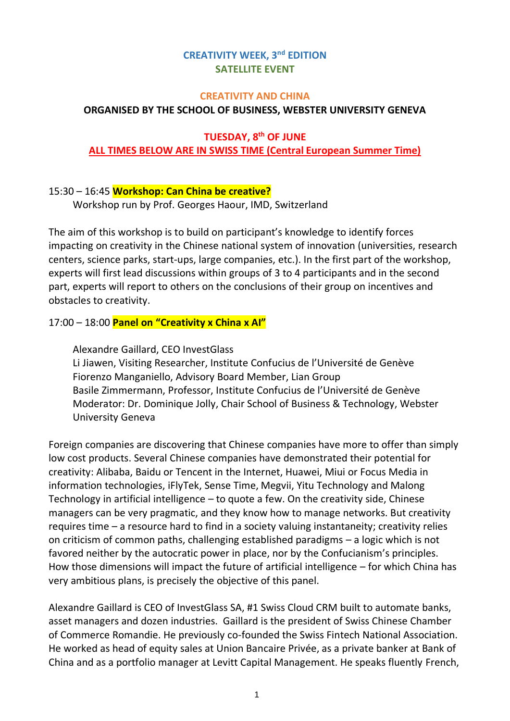# **CREATIVITY WEEK, 3nd EDITION SATELLITE EVENT**

#### **CREATIVITY AND CHINA**

# **ORGANISED BY THE SCHOOL OF BUSINESS, WEBSTER UNIVERSITY GENEVA**

### **TUESDAY, 8 th OF JUNE ALL TIMES BELOW ARE IN SWISS TIME (Central European Summer Time)**

# 15:30 – 16:45 **Workshop: Can China be creative?**

Workshop run by Prof. Georges Haour, IMD, Switzerland

The aim of this workshop is to build on participant's knowledge to identify forces impacting on creativity in the Chinese national system of innovation (universities, research centers, science parks, start-ups, large companies, etc.). In the first part of the workshop, experts will first lead discussions within groups of 3 to 4 participants and in the second part, experts will report to others on the conclusions of their group on incentives and obstacles to creativity.

# 17:00 – 18:00 **Panel on "Creativity x China x AI"**

Alexandre Gaillard, CEO InvestGlass Li Jiawen, Visiting Researcher, Institute Confucius de l'Université de Genève Fiorenzo Manganiello, Advisory Board Member, Lian Group Basile Zimmermann, Professor, Institute Confucius de l'Université de Genève Moderator: Dr. Dominique Jolly, Chair School of Business & Technology, Webster University Geneva

Foreign companies are discovering that Chinese companies have more to offer than simply low cost products. Several Chinese companies have demonstrated their potential for creativity: Alibaba, Baidu or Tencent in the Internet, Huawei, Miui or Focus Media in information technologies, iFlyTek, Sense Time, Megvii, Yitu Technology and Malong Technology in artificial intelligence – to quote a few. On the creativity side, Chinese managers can be very pragmatic, and they know how to manage networks. But creativity requires time – a resource hard to find in a society valuing instantaneity; creativity relies on criticism of common paths, challenging established paradigms – a logic which is not favored neither by the autocratic power in place, nor by the Confucianism's principles. How those dimensions will impact the future of artificial intelligence – for which China has very ambitious plans, is precisely the objective of this panel.

Alexandre Gaillard is CEO of InvestGlass SA, #1 Swiss Cloud CRM built to automate banks, asset managers and dozen industries. Gaillard is the president of Swiss Chinese Chamber of Commerce Romandie. He previously co-founded the Swiss Fintech National Association. He worked as head of equity sales at Union Bancaire Privée, as a private banker at Bank of China and as a portfolio manager at Levitt Capital Management. He speaks fluently French,